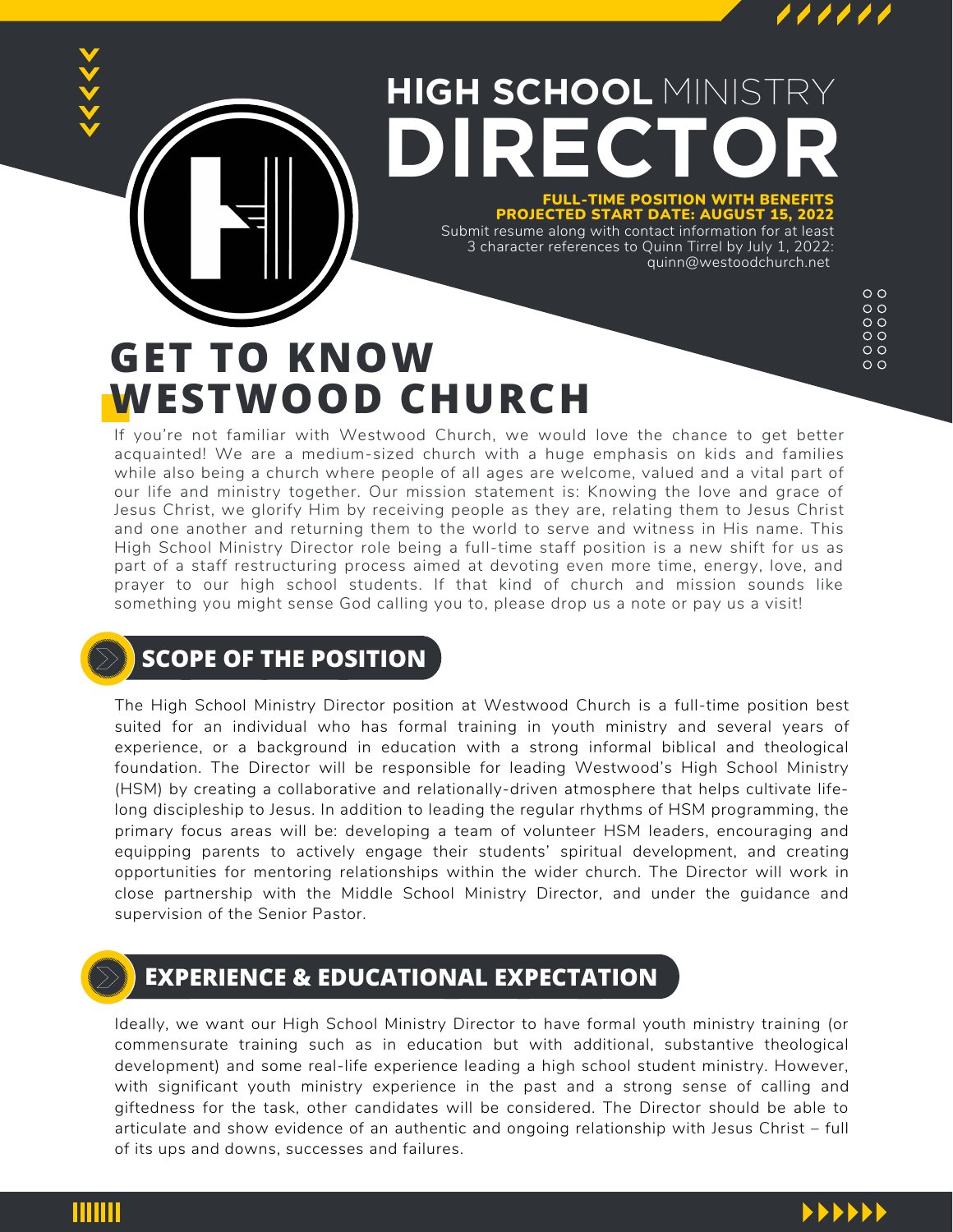

#### **HIGH SCHOOL** MINISTRY **DIRE C T O R**

#### FULL-TIME POSITION WITH BENEFITS PROJECTED START DATE: AUGUST 15, 2022

Submit resume along with contact information for at least 3 character references to Quinn Tirrel by July 1, 2022: quinn@westoodchurch.net

# **GET TO KNOW WESTWOOD CHURCH**

 $\circ$   $\circ$  $\circ$  $\circ$  $\circ$  $\circ$   $\circ$  $\circ$ 

If you're not familiar with Westwood Church, we would love the chance to get better acquainted! We are a medium-sized church with a huge emphasis on kids and families while also being a church where people of all ages are welcome, valued and a vital part of our life and ministry together. Our mission statement is: Knowing the love and grace of Jesus Christ, we glorify Him by receiving people as they are, relating them to Jesus Christ and one another and returning them to the world to serve and witness in His name. This High School Ministry Director role being a full-time staff position is a new shift for us as part of a staff restructuring process aimed at devoting even more time, energy, love, and prayer to our high school students. If that kind of church and mission sounds like something you might sense God calling you to, please drop us a note or pay us a visit!

### **SCOPE OF THE POSITION**

The High School Ministry Director position at Westwood Church is a full-time position best suited for an individual who has formal training in youth ministry and several years of experience, or a background in education with a strong informal biblical and theological foundation. The Director will be responsible for leading Westwood's High School Ministry (HSM) by creating a collaborative and relationally-driven atmosphere that helps cultivate lifelong discipleship to Jesus. In addition to leading the regular rhythms of HSM programming, the primary focus areas will be: developing a team of volunteer HSM leaders, encouraging and equipping parents to actively engage their students' spiritual development, and creating opportunities for mentoring relationships within the wider church. The Director will work in close partnership with the Middle School Ministry Director, and under the guidance and supervision of the Senior Pastor.

### **EXPERIENCE & EDUCATIONAL EXPECTATION**

Ideally, we want our High School Ministry Director to have formal youth ministry training (or commensurate training such as in education but with additional, substantive theological development) and some real-life experience leading a high school student ministry. However, with significant youth ministry experience in the past and a strong sense of calling and giftedness for the task, other candidates will be considered. The Director should be able to articulate and show evidence of an authentic and ongoing relationship with Jesus Christ – full of its ups and downs, successes and failures.